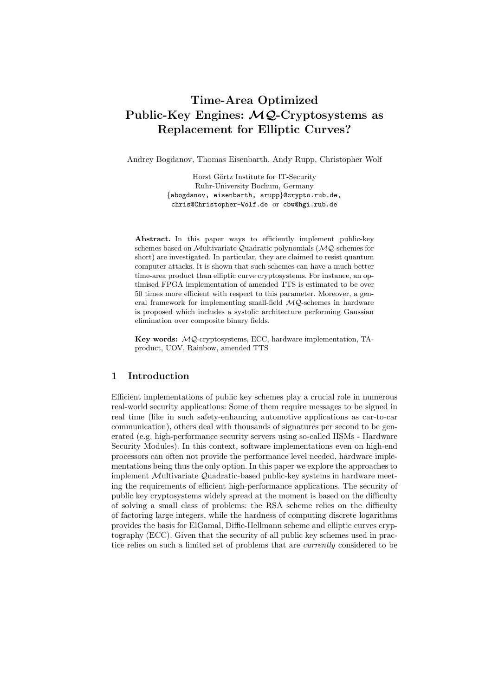# Time-Area Optimized Public-Key Engines: MQ-Cryptosystems as Replacement for Elliptic Curves?

Andrey Bogdanov, Thomas Eisenbarth, Andy Rupp, Christopher Wolf

Horst Görtz Institute for IT-Security Ruhr-University Bochum, Germany {abogdanov, eisenbarth, arupp}@crypto.rub.de, chris@Christopher-Wolf.de or cbw@hgi.rub.de

Abstract. In this paper ways to efficiently implement public-key schemes based on Multivariate Quadratic polynomials (MQ-schemes for short) are investigated. In particular, they are claimed to resist quantum computer attacks. It is shown that such schemes can have a much better time-area product than elliptic curve cryptosystems. For instance, an optimised FPGA implementation of amended TTS is estimated to be over 50 times more efficient with respect to this parameter. Moreover, a general framework for implementing small-field MQ-schemes in hardware is proposed which includes a systolic architecture performing Gaussian elimination over composite binary fields.

Key words: MQ-cryptosystems, ECC, hardware implementation, TAproduct, UOV, Rainbow, amended TTS

# 1 Introduction

Efficient implementations of public key schemes play a crucial role in numerous real-world security applications: Some of them require messages to be signed in real time (like in such safety-enhancing automotive applications as car-to-car communication), others deal with thousands of signatures per second to be generated (e.g. high-performance security servers using so-called HSMs - Hardware Security Modules). In this context, software implementations even on high-end processors can often not provide the performance level needed, hardware implementations being thus the only option. In this paper we explore the approaches to implement Multivariate Quadratic-based public-key systems in hardware meeting the requirements of efficient high-performance applications. The security of public key cryptosystems widely spread at the moment is based on the difficulty of solving a small class of problems: the RSA scheme relies on the difficulty of factoring large integers, while the hardness of computing discrete logarithms provides the basis for ElGamal, Diffie-Hellmann scheme and elliptic curves cryptography (ECC). Given that the security of all public key schemes used in practice relies on such a limited set of problems that are currently considered to be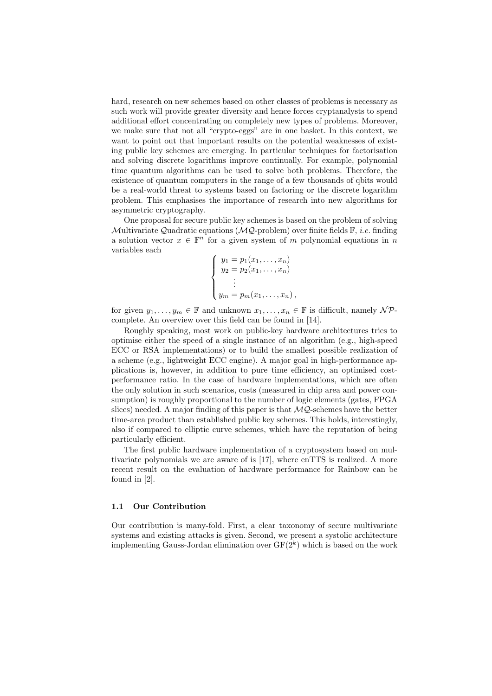hard, research on new schemes based on other classes of problems is necessary as such work will provide greater diversity and hence forces cryptanalysts to spend additional effort concentrating on completely new types of problems. Moreover, we make sure that not all "crypto-eggs" are in one basket. In this context, we want to point out that important results on the potential weaknesses of existing public key schemes are emerging. In particular techniques for factorisation and solving discrete logarithms improve continually. For example, polynomial time quantum algorithms can be used to solve both problems. Therefore, the existence of quantum computers in the range of a few thousands of qbits would be a real-world threat to systems based on factoring or the discrete logarithm problem. This emphasises the importance of research into new algorithms for asymmetric cryptography.

One proposal for secure public key schemes is based on the problem of solving Multivariate Quadratic equations ( $MQ$ -problem) over finite fields  $\mathbb{F}$ , *i.e.* finding a solution vector  $x \in \mathbb{F}^n$  for a given system of m polynomial equations in n variables each

$$
\begin{cases}\ny_1 = p_1(x_1, \dots, x_n) \\
y_2 = p_2(x_1, \dots, x_n) \\
\vdots \\
y_m = p_m(x_1, \dots, x_n),\n\end{cases}
$$

for given  $y_1, \ldots, y_m \in \mathbb{F}$  and unknown  $x_1, \ldots, x_n \in \mathbb{F}$  is difficult, namely  $\mathcal{NP}$ complete. An overview over this field can be found in [14].

Roughly speaking, most work on public-key hardware architectures tries to optimise either the speed of a single instance of an algorithm (e.g., high-speed ECC or RSA implementations) or to build the smallest possible realization of a scheme (e.g., lightweight ECC engine). A major goal in high-performance applications is, however, in addition to pure time efficiency, an optimised costperformance ratio. In the case of hardware implementations, which are often the only solution in such scenarios, costs (measured in chip area and power consumption) is roughly proportional to the number of logic elements (gates, FPGA slices) needed. A major finding of this paper is that  $\mathcal{MQ}$ -schemes have the better time-area product than established public key schemes. This holds, interestingly, also if compared to elliptic curve schemes, which have the reputation of being particularly efficient.

The first public hardware implementation of a cryptosystem based on multivariate polynomials we are aware of is [17], where enTTS is realized. A more recent result on the evaluation of hardware performance for Rainbow can be found in [2].

#### 1.1 Our Contribution

Our contribution is many-fold. First, a clear taxonomy of secure multivariate systems and existing attacks is given. Second, we present a systolic architecture implementing Gauss-Jordan elimination over  $GF(2<sup>k</sup>)$  which is based on the work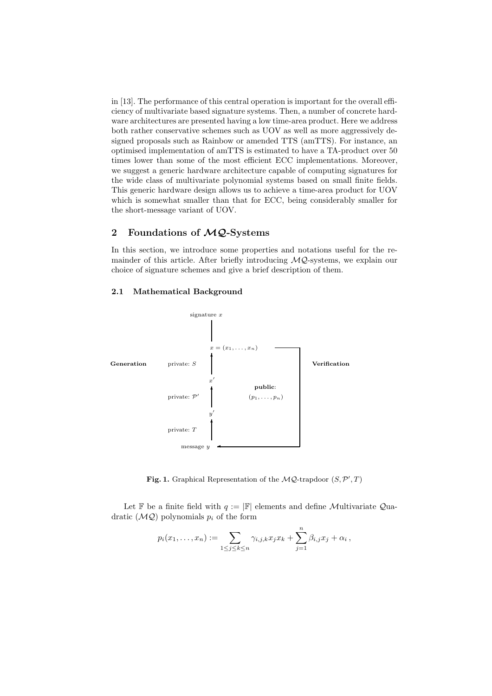in [13]. The performance of this central operation is important for the overall efficiency of multivariate based signature systems. Then, a number of concrete hardware architectures are presented having a low time-area product. Here we address both rather conservative schemes such as UOV as well as more aggressively designed proposals such as Rainbow or amended TTS (amTTS). For instance, an optimised implementation of amTTS is estimated to have a TA-product over 50 times lower than some of the most efficient ECC implementations. Moreover, we suggest a generic hardware architecture capable of computing signatures for the wide class of multivariate polynomial systems based on small finite fields. This generic hardware design allows us to achieve a time-area product for UOV which is somewhat smaller than that for ECC, being considerably smaller for the short-message variant of UOV.

# 2 Foundations of  $MQ$ -Systems

In this section, we introduce some properties and notations useful for the remainder of this article. After briefly introducing  $MQ$ -systems, we explain our choice of signature schemes and give a brief description of them.

## 2.1 Mathematical Background



Fig. 1. Graphical Representation of the  $MQ$ -trapdoor  $(S, \mathcal{P}', T)$ 

Let F be a finite field with  $q := |F|$  elements and define Multivariate Quadratic  $(MQ)$  polynomials  $p_i$  of the form

$$
p_i(x_1,...,x_n) := \sum_{1 \leq j \leq k \leq n} \gamma_{i,j,k} x_j x_k + \sum_{j=1}^n \beta_{i,j} x_j + \alpha_i,
$$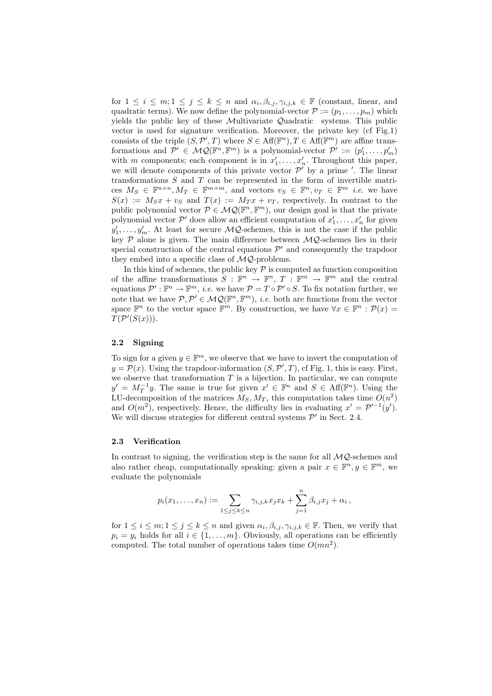for  $1 \leq i \leq m; 1 \leq j \leq k \leq n$  and  $\alpha_i, \beta_{i,j}, \gamma_{i,j,k} \in \mathbb{F}$  (constant, linear, and quadratic terms). We now define the polynomial-vector  $P := (p_1, \ldots, p_m)$  which yields the public key of these Multivariate Quadratic systems. This public vector is used for signature verification. Moreover, the private key (cf Fig.1) consists of the triple  $(S, \mathcal{P}', T)$  where  $S \in \text{Aff}(\mathbb{F}^n)$ ,  $T \in \text{Aff}(\mathbb{F}^m)$  are affine transformations and  $\mathcal{P}' \in \mathcal{MQ}(\mathbb{F}^n, \mathbb{F}^m)$  is a polynomial-vector  $\mathcal{P}' := (p'_1, \ldots, p'_m)$ with m components; each component is in  $x'_1, \ldots, x'_n$ . Throughout this paper, we will denote components of this private vector  $\mathcal{P}'$  by a prime '. The linear transformations  $S$  and  $T$  can be represented in the form of invertible matrices  $M_S \in \mathbb{F}^{n \times n}$ ,  $M_T \in \mathbb{F}^{m \times m}$ , and vectors  $v_S \in \mathbb{F}^n$ ,  $v_T \in \mathbb{F}^m$  *i.e.* we have  $S(x) := M_S x + v_S$  and  $T(x) := M_T x + v_T$ , respectively. In contrast to the public polynomial vector  $P \in \mathcal{MQ}(\mathbb{F}^n, \mathbb{F}^m)$ , our design goal is that the private polynomial vector  $\mathcal{P}'$  does allow an efficient computation of  $x'_1, \ldots, x'_n$  for given  $y'_1, \ldots, y'_m$ . At least for secure  $\mathcal{MQ}$ -schemes, this is not the case if the public key  $P$  alone is given. The main difference between  $MQ$ -schemes lies in their special construction of the central equations  $\mathcal{P}'$  and consequently the trapdoor they embed into a specific class of  $MQ$ -problems.

In this kind of schemes, the public key  $P$  is computed as function composition of the affine transformations  $S : \mathbb{F}^n \to \mathbb{F}^n$ ,  $T : \mathbb{F}^m \to \mathbb{F}^m$  and the central equations  $\mathcal{P}' : \mathbb{F}^n \to \mathbb{F}^m$ , *i.e.* we have  $\mathcal{P} = T \circ \mathcal{P}' \circ S$ . To fix notation further, we note that we have  $P, P' \in \mathcal{MQ}(\mathbb{F}^n, \mathbb{F}^m)$ , *i.e.* both are functions from the vector space  $\mathbb{F}^n$  to the vector space  $\mathbb{F}^m$ . By construction, we have  $\forall x \in \mathbb{F}^n : \mathcal{P}(x) =$  $T(P'(S(x))).$ 

### 2.2 Signing

To sign for a given  $y \in \mathbb{F}^m$ , we observe that we have to invert the computation of  $y = \mathcal{P}(x)$ . Using the trapdoor-information  $(S, \mathcal{P}', T)$ , cf Fig. 1, this is easy. First, we observe that transformation  $T$  is a bijection. In particular, we can compute  $y' = M_T^{-1}y$ . The same is true for given  $x' \in \mathbb{F}^n$  and  $S \in Aff(\mathbb{F}^n)$ . Using the LU-decomposition of the matrices  $M_S, M_T$ , this computation takes time  $O(n^2)$ and  $O(m^2)$ , respectively. Hence, the difficulty lies in evaluating  $x' = \mathcal{P}'^{-1}(y')$ . We will discuss strategies for different central systems  $\mathcal{P}'$  in Sect. 2.4.

#### 2.3 Verification

In contrast to signing, the verification step is the same for all  $MQ$ -schemes and also rather cheap, computationally speaking: given a pair  $x \in \mathbb{F}^n, y \in \mathbb{F}^m$ , we evaluate the polynomials

$$
p_i(x_1,...,x_n) := \sum_{1 \leq j \leq k \leq n} \gamma_{i,j,k} x_j x_k + \sum_{j=1}^n \beta_{i,j} x_j + \alpha_i,
$$

for  $1 \leq i \leq m; 1 \leq j \leq k \leq n$  and given  $\alpha_i, \beta_{i,j}, \gamma_{i,j,k} \in \mathbb{F}$ . Then, we verify that  $p_i = y_i$  holds for all  $i \in \{1, \ldots, m\}$ . Obviously, all operations can be efficiently computed. The total number of operations takes time  $O(mn^2)$ .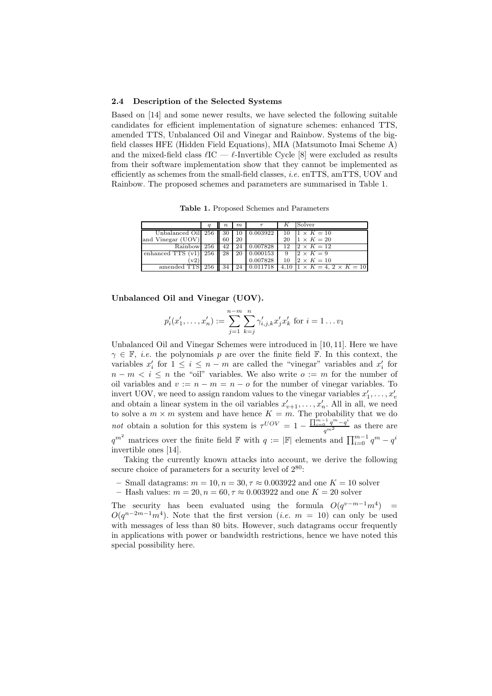#### 2.4 Description of the Selected Systems

Based on [14] and some newer results, we have selected the following suitable candidates for efficient implementation of signature schemes: enhanced TTS, amended TTS, Unbalanced Oil and Vinegar and Rainbow. Systems of the bigfield classes HFE (Hidden Field Equations), MIA (Matsumoto Imai Scheme A) and the mixed-field class  $\ell$ IC —  $\ell$ -Invertible Cycle [8] were excluded as results from their software implementation show that they cannot be implemented as efficiently as schemes from the small-field classes, i.e. enTTS, amTTS, UOV and Rainbow. The proposed schemes and parameters are summarised in Table 1.

Table 1. Proposed Schemes and Parameters

|                     | u   | $\boldsymbol{n}$ | m  |          |      | Solver                            |
|---------------------|-----|------------------|----|----------|------|-----------------------------------|
| Unbalanced Oil 256  |     | 30               | 10 | 0.003922 | 10   | $1 \times K = 10$                 |
| and Vinegar (UOV)   |     | 60               | 20 |          | 20   | $1 \times K = 20$                 |
| Rainbow             | 256 | 42               | 24 | 0.007828 | 12   | $2 \times K = 12$                 |
| enhanced TTS $(v1)$ | 256 | 28               | 20 | 0.000153 | 9    | $2 \times K = 9$                  |
| v2)                 |     |                  |    | 0.007828 | 10   | $2 \times K = 10$                 |
| amended TTS         | 256 | 34               | 24 |          | 4.10 | $1 \times K = 4, 2 \times K = 10$ |

Unbalanced Oil and Vinegar (UOV).

$$
p'_{i}(x'_{1},...,x'_{n}) := \sum_{j=1}^{n-m} \sum_{k=j}^{n} \gamma'_{i,j,k} x'_{j} x'_{k} \text{ for } i = 1...v_{1}
$$

Unbalanced Oil and Vinegar Schemes were introduced in [10, 11]. Here we have  $\gamma \in \mathbb{F}$ , *i.e.* the polynomials p are over the finite field  $\mathbb{F}$ . In this context, the variables  $x'_i$  for  $1 \leq i \leq n-m$  are called the "vinegar" variables and  $x'_i$  for  $n - m < i \leq n$  the "oil" variables. We also write  $o := m$  for the number of oil variables and  $v := n - m = n - o$  for the number of vinegar variables. To invert UOV, we need to assign random values to the vinegar variables  $x'_1, \ldots, x'_i$ mvert  $\sigma$ OV, we need to assign random values to the vinegar variables  $x_1, \ldots, x_v$ <br>and obtain a linear system in the oil variables  $x'_{v+1}, \ldots, x'_n$ . All in all, we need to solve a  $m \times m$  system and have hence  $K = m$ . The probability that we do not obtain a solution for this system is  $\tau^{UOV} = 1 - \frac{\prod_{i=0}^{m-1} q^m - q^i}{q^{m^2}}$  as there are  $q^{m^2}$  matrices over the finite field  $\mathbb F$  with  $q := |\mathbb F|$  elements and  $\prod_{i=0}^{m-1} q^m - q^i$ invertible ones [14].

Taking the currently known attacks into account, we derive the following secure choice of parameters for a security level of  $2^{80}$ :

- Small datagrams:  $m = 10$ ,  $n = 30$ ,  $\tau \approx 0.003922$  and one  $K = 10$  solver
- Hash values:  $m = 20$ ,  $n = 60$ ,  $\tau \approx 0.003922$  and one  $K = 20$  solver

The security has been evaluated using the formula  $O(q^{v-m-1}m^4)$  =  $O(q^{n-2m-1}m^4)$ . Note that the first version (*i.e.*  $m = 10$ ) can only be used with messages of less than 80 bits. However, such datagrams occur frequently in applications with power or bandwidth restrictions, hence we have noted this special possibility here.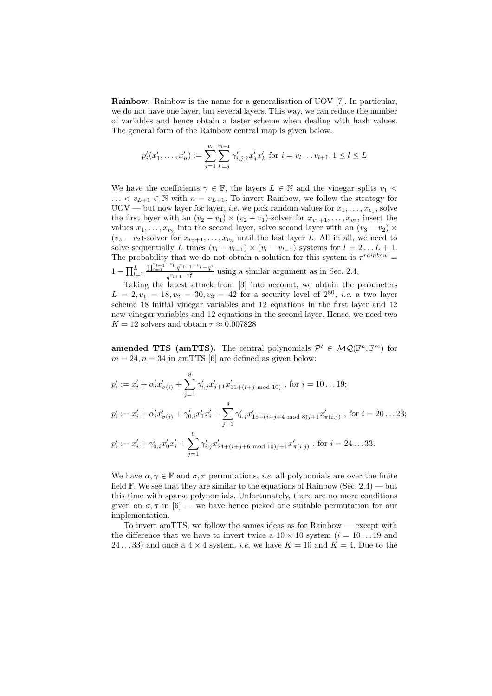Rainbow. Rainbow is the name for a generalisation of UOV [7]. In particular, we do not have one layer, but several layers. This way, we can reduce the number of variables and hence obtain a faster scheme when dealing with hash values. The general form of the Rainbow central map is given below.

$$
p'_{i}(x'_{1},...,x'_{n}) := \sum_{j=1}^{v_{l}} \sum_{k=j}^{v_{l+1}} \gamma'_{i,j,k} x'_{j} x'_{k} \text{ for } i = v_{l}...v_{l+1}, 1 \leq l \leq L
$$

We have the coefficients  $\gamma \in \mathbb{F}$ , the layers  $L \in \mathbb{N}$  and the vinegar splits  $v_1$  $\ldots < v_{L+1} \in \mathbb{N}$  with  $n = v_{L+1}$ . To invert Rainbow, we follow the strategy for  $UOV - but now layer for layer, *i.e.* we pick random values for  $x_1, \ldots, x_{v_1}$ , solve$ the first layer with an  $(v_2 - v_1) \times (v_2 - v_1)$ -solver for  $x_{v_1+1}, \ldots, x_{v_2}$ , insert the values  $x_1, \ldots, x_{v_2}$  into the second layer, solve second layer with an  $(v_3 - v_2) \times$  $(v_3 - v_2)$ -solver for  $x_{v_2+1}, \ldots, x_{v_3}$  until the last layer L. All in all, we need to solve sequentially L times  $(v_l - v_{l-1}) \times (v_l - v_{l-1})$  systems for  $l = 2...L + 1$ . The probability that we do not obtain a solution for this system is  $\tau^{rainbow} =$  $1-\prod_{l=1}^L$  $\prod_{i=0}^{v_{l+1}-v_{l}} q^{v_{l+1}-v_{l}}-q^{i}$  $\frac{q^{v_{l+1}-v_{l}}-q}{q^{v_{l+1}-v_{l}^2}}$  using a similar argument as in Sec. 2.4.

Taking the latest attack from [3] into account, we obtain the parameters  $L = 2, v_1 = 18, v_2 = 30, v_3 = 42$  for a security level of  $2^{80}$ , *i.e.* a two layer scheme 18 initial vinegar variables and 12 equations in the first layer and 12 new vinegar variables and 12 equations in the second layer. Hence, we need two  $K = 12$  solvers and obtain  $\tau \approx 0.007828$ 

amended TTS (amTTS). The central polynomials  $\mathcal{P}' \in \mathcal{MQ}(\mathbb{F}^n, \mathbb{F}^m)$  for  $m = 24, n = 34$  in amTTS [6] are defined as given below:

$$
p'_{i} := x'_{i} + \alpha'_{i}x'_{\sigma(i)} + \sum_{j=1}^{8} \gamma'_{i,j}x'_{j+1}x'_{11+(i+j \mod 10)}, \text{ for } i = 10...19;
$$
  
\n
$$
p'_{i} := x'_{i} + \alpha'_{i}x'_{\sigma(i)} + \gamma'_{0,i}x'_{1}x'_{i} + \sum_{j=1}^{8} \gamma'_{i,j}x'_{15+(i+j+4 \mod 8)j+1}x'_{\pi(i,j)}, \text{ for } i = 20...23;
$$
  
\n
$$
p'_{i} := x'_{i} + \gamma'_{0,i}x'_{0}x'_{i} + \sum_{j=1}^{9} \gamma'_{i,j}x'_{24+(i+j+6 \mod 10)j+1}x'_{\pi(i,j)}, \text{ for } i = 24...33.
$$

We have  $\alpha, \gamma \in \mathbb{F}$  and  $\sigma, \pi$  permutations, *i.e.* all polynomials are over the finite field  $\mathbb{F}$ . We see that they are similar to the equations of Rainbow (Sec. 2.4) — but this time with sparse polynomials. Unfortunately, there are no more conditions given on  $\sigma, \pi$  in [6] — we have hence picked one suitable permutation for our implementation.

To invert amTTS, we follow the sames ideas as for Rainbow — except with the difference that we have to invert twice a  $10 \times 10$  system  $(i = 10...19)$  and 24...33) and once a  $4 \times 4$  system, *i.e.* we have  $K = 10$  and  $K = 4$ . Due to the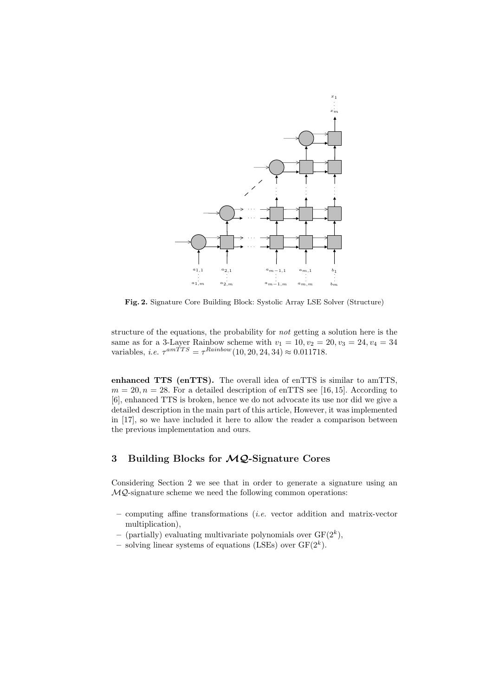

Fig. 2. Signature Core Building Block: Systolic Array LSE Solver (Structure)

structure of the equations, the probability for not getting a solution here is the same as for a 3-Layer Rainbow scheme with  $v_1 = 10, v_2 = 20, v_3 = 24, v_4 = 34$ variables, *i.e.*  $\tau^{amTTS} = \tau^{Rainbow}(10, 20, 24, 34) \approx 0.011718$ .

enhanced TTS (enTTS). The overall idea of enTTS is similar to amTTS,  $m = 20, n = 28$ . For a detailed description of enTTS see [16, 15]. According to [6], enhanced TTS is broken, hence we do not advocate its use nor did we give a detailed description in the main part of this article, However, it was implemented in [17], so we have included it here to allow the reader a comparison between the previous implementation and ours.

# 3 Building Blocks for  $MQ$ -Signature Cores

Considering Section 2 we see that in order to generate a signature using an  $MQ$ -signature scheme we need the following common operations:

- $-$  computing affine transformations *(i.e.* vector addition and matrix-vector multiplication),
- (partially) evaluating multivariate polynomials over  $GF(2<sup>k</sup>)$ ,
- solving linear systems of equations (LSEs) over  $GF(2^k)$ .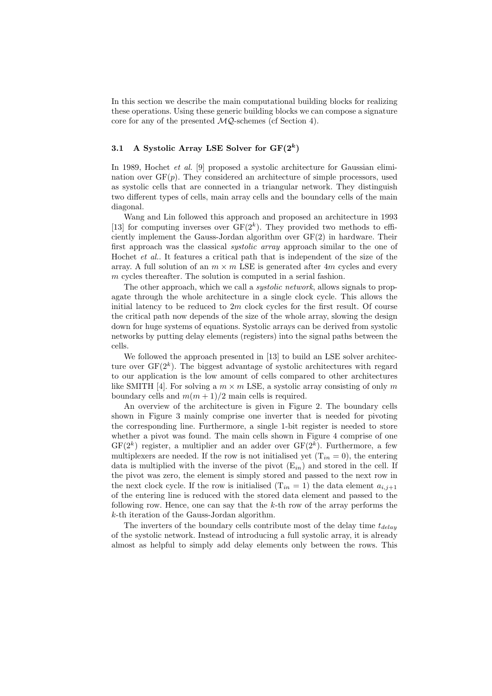In this section we describe the main computational building blocks for realizing these operations. Using these generic building blocks we can compose a signature core for any of the presented  $MQ$ -schemes (cf Section 4).

# 3.1 A Systolic Array LSE Solver for  $GF(2^k)$

In 1989, Hochet et al. [9] proposed a systolic architecture for Gaussian elimination over  $GF(p)$ . They considered an architecture of simple processors, used as systolic cells that are connected in a triangular network. They distinguish two different types of cells, main array cells and the boundary cells of the main diagonal.

Wang and Lin followed this approach and proposed an architecture in 1993 [13] for computing inverses over  $GF(2<sup>k</sup>)$ . They provided two methods to efficiently implement the Gauss-Jordan algorithm over GF(2) in hardware. Their first approach was the classical *systolic array* approach similar to the one of Hochet et al.. It features a critical path that is independent of the size of the array. A full solution of an  $m \times m$  LSE is generated after 4m cycles and every m cycles thereafter. The solution is computed in a serial fashion.

The other approach, which we call a *systolic network*, allows signals to propagate through the whole architecture in a single clock cycle. This allows the initial latency to be reduced to  $2m$  clock cycles for the first result. Of course the critical path now depends of the size of the whole array, slowing the design down for huge systems of equations. Systolic arrays can be derived from systolic networks by putting delay elements (registers) into the signal paths between the cells.

We followed the approach presented in [13] to build an LSE solver architecture over  $GF(2<sup>k</sup>)$ . The biggest advantage of systolic architectures with regard to our application is the low amount of cells compared to other architectures like SMITH [4]. For solving a  $m \times m$  LSE, a systolic array consisting of only m boundary cells and  $m(m + 1)/2$  main cells is required.

An overview of the architecture is given in Figure 2. The boundary cells shown in Figure 3 mainly comprise one inverter that is needed for pivoting the corresponding line. Furthermore, a single 1-bit register is needed to store whether a pivot was found. The main cells shown in Figure 4 comprise of one  $GF(2<sup>k</sup>)$  register, a multiplier and an adder over  $GF(2<sup>k</sup>)$ . Furthermore, a few multiplexers are needed. If the row is not initialised yet  $(T_{in} = 0)$ , the entering data is multiplied with the inverse of the pivot  $(E_{in})$  and stored in the cell. If the pivot was zero, the element is simply stored and passed to the next row in the next clock cycle. If the row is initialised  $(T_{in} = 1)$  the data element  $a_{i,j+1}$ of the entering line is reduced with the stored data element and passed to the following row. Hence, one can say that the  $k$ -th row of the array performs the k-th iteration of the Gauss-Jordan algorithm.

The inverters of the boundary cells contribute most of the delay time  $t_{delay}$ of the systolic network. Instead of introducing a full systolic array, it is already almost as helpful to simply add delay elements only between the rows. This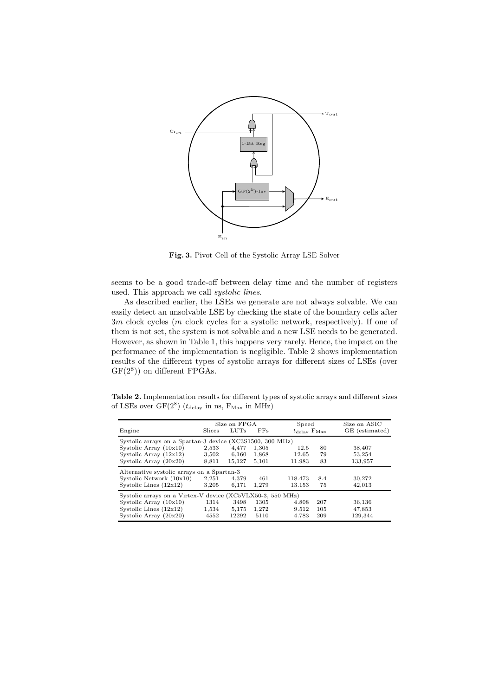

Fig. 3. Pivot Cell of the Systolic Array LSE Solver

seems to be a good trade-off between delay time and the number of registers used. This approach we call systolic lines.

As described earlier, the LSEs we generate are not always solvable. We can easily detect an unsolvable LSE by checking the state of the boundary cells after 3m clock cycles (m clock cycles for a systolic network, respectively). If one of them is not set, the system is not solvable and a new LSE needs to be generated. However, as shown in Table 1, this happens very rarely. Hence, the impact on the performance of the implementation is negligible. Table 2 shows implementation results of the different types of systolic arrays for different sizes of LSEs (over  $GF(2<sup>8</sup>))$  on different FPGAs.

Table 2. Implementation results for different types of systolic arrays and different sizes of LSEs over  $GF(2^8)$  ( $t_{\text{delay}}$  in ns,  $F_{\text{Max}}$  in MHz)

|                                                            | Size on FPGA |        |       | Speed                            |     | Size on ASIC   |  |  |  |
|------------------------------------------------------------|--------------|--------|-------|----------------------------------|-----|----------------|--|--|--|
| Engine                                                     | Slices       | LUTs   | FFs   | $t_{\rm delay}$ F <sub>Max</sub> |     | GE (estimated) |  |  |  |
| Systolic arrays on a Spartan-3 device (XC3S1500, 300 MHz)  |              |        |       |                                  |     |                |  |  |  |
| Systolic Array $(10x10)$                                   | 2,533        | 4,477  | 1,305 | 12.5                             | 80  | 38,407         |  |  |  |
| Systolic Array $(12x12)$                                   | 3,502        | 6,160  | 1,868 | 12.65                            | 79  | 53,254         |  |  |  |
| Systolic Array $(20x20)$                                   | 8,811        | 15.127 | 5.101 | 11.983                           | 83  | 133,957        |  |  |  |
| Alternative systolic arrays on a Spartan-3                 |              |        |       |                                  |     |                |  |  |  |
| Systolic Network $(10x10)$                                 | 2,251        | 4.379  | 461   | 118.473                          | 8.4 | 30,272         |  |  |  |
| Systolic Lines $(12x12)$                                   | 3,205        | 6,171  | 1,279 | 13.153                           | 75  | 42,013         |  |  |  |
| Systolic arrays on a Virtex-V device (XC5VLX50-3, 550 MHz) |              |        |       |                                  |     |                |  |  |  |
| Systolic Array $(10x10)$                                   | 1314         | 3498   | 1305  | 4.808                            | 207 | 36,136         |  |  |  |
| Systolic Lines $(12x12)$                                   | 1,534        | 5,175  | 1,272 | 9.512                            | 105 | 47,853         |  |  |  |
| Systolic Array $(20x20)$                                   | 4552         | 12292  | 5110  | 4.783                            | 209 | 129,344        |  |  |  |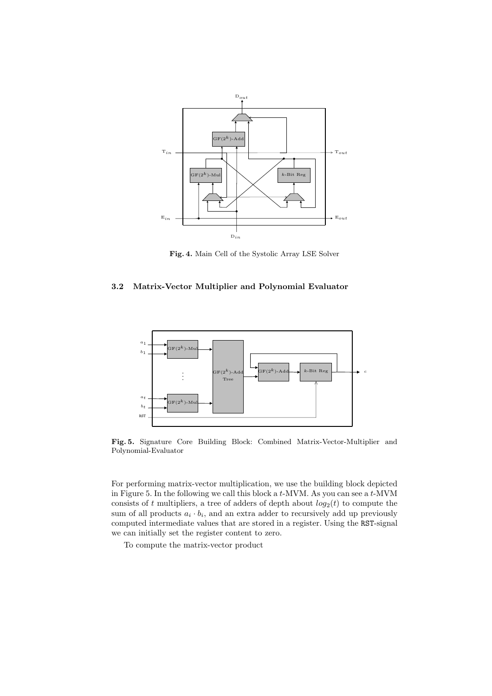

Fig. 4. Main Cell of the Systolic Array LSE Solver

# 3.2 Matrix-Vector Multiplier and Polynomial Evaluator



Fig. 5. Signature Core Building Block: Combined Matrix-Vector-Multiplier and Polynomial-Evaluator

For performing matrix-vector multiplication, we use the building block depicted in Figure 5. In the following we call this block a t-MVM. As you can see a t-MVM consists of t multipliers, a tree of adders of depth about  $log_2(t)$  to compute the sum of all products  $a_i \cdot b_i$ , and an extra adder to recursively add up previously computed intermediate values that are stored in a register. Using the RST-signal we can initially set the register content to zero.

To compute the matrix-vector product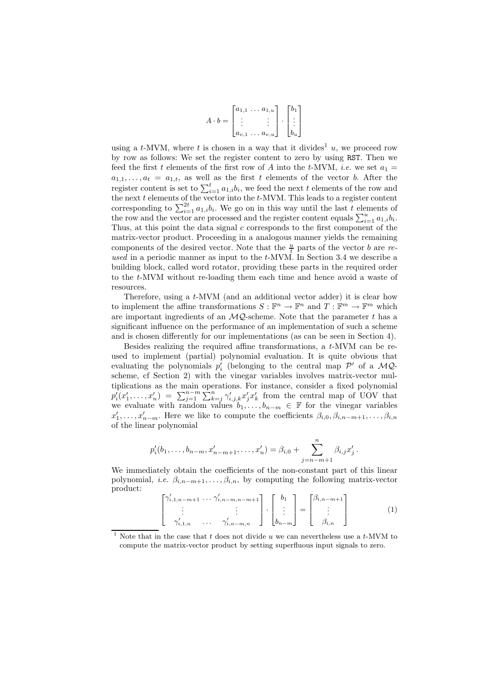$$
A \cdot b = \begin{bmatrix} a_{1,1} & \dots & a_{1,u} \\ \vdots & & \vdots \\ a_{v,1} & \dots & a_{v,u} \end{bmatrix} \cdot \begin{bmatrix} b_1 \\ \vdots \\ b_u \end{bmatrix}
$$

using a t-MVM, where t is chosen in a way that it divides<sup>1</sup> u, we proceed row by row as follows: We set the register content to zero by using RST. Then we feed the first t elements of the first row of A into the t-MVM, *i.e.* we set  $a_1 =$  $a_{1,1}, \ldots, a_t = a_{1,t}$ , as well as the first t elements of the vector b. After the register content is set to  $\sum_{i=1}^{t} a_{1,i} b_i$ , we feed the next t elements of the row and the next  $t$  elements of the vector into the  $t$ -MVM. This leads to a register content corresponding to  $\sum_{i=1}^{2t} a_{1,i} b_i$ . We go on in this way until the last t elements of the row and the vector are processed and the register content equals  $\sum_{i=1}^{u} a_{1,i}b_i$ . Thus, at this point the data signal  $c$  corresponds to the first component of the matrix-vector product. Proceeding in a analogous manner yields the remaining components of the desired vector. Note that the  $\frac{u}{t}$  parts of the vector b are reused in a periodic manner as input to the t-MVM. In Section 3.4 we describe a building block, called word rotator, providing these parts in the required order to the t-MVM without re-loading them each time and hence avoid a waste of resources.

Therefore, using a t-MVM (and an additional vector adder) it is clear how to implement the affine transformations  $S: \mathbb{F}^n \to \mathbb{F}^n$  and  $T: \mathbb{F}^m \to \mathbb{F}^m$  which are important ingredients of an  $MQ$ -scheme. Note that the parameter t has a significant influence on the performance of an implementation of such a scheme and is chosen differently for our implementations (as can be seen in Section 4).

Besides realizing the required affine transformations, a t-MVM can be reused to implement (partial) polynomial evaluation. It is quite obvious that evaluating the polynomials  $p'_i$  (belonging to the central map  $\mathcal{P}'$  of a  $\mathcal{MQ}$ scheme, cf Section 2) with the vinegar variables involves matrix-vector multiplications as the main operations. For instance, consider a fixed polynomial  $p'_i(x'_1,\ldots,x'_n) = \sum_{j=1}^{n-m} \sum_{k=j}^{n} \gamma'_{i,j,k} x'_j x'_k$  from the central map of UOV that we evaluate with random values  $b_1, \ldots, b_{n-m} \in \mathbb{F}$  for the vinegar variables  $x'_1, \ldots, x'_{n-m}$ . Here we like to compute the coefficients  $\beta_{i,0}, \beta_{i,n-m+1}, \ldots, \beta_{i,n}$ of the linear polynomial

$$
p'_{i}(b_{1},...,b_{n-m},x'_{n-m+1},...,x'_{n}) = \beta_{i,0} + \sum_{j=n-m+1}^{n} \beta_{i,j}x'_{j}
$$

We immediately obtain the coefficients of the non-constant part of this linear polynomial, *i.e.*  $\beta_{i,n-m+1}, \ldots, \beta_{i,n}$ , by computing the following matrix-vector product:

$$
\begin{bmatrix}\n\gamma'_{i,1,n-m+1} & \cdots & \gamma'_{i,n-m,n-m+1} \\
\vdots & & \vdots \\
\gamma'_{i,1,n} & \cdots & \gamma'_{i,n-m,n}\n\end{bmatrix} \cdot\n\begin{bmatrix}\nb_1 \\
\vdots \\
b_{n-m}\n\end{bmatrix} =\n\begin{bmatrix}\n\beta_{i,n-m+1} \\
\vdots \\
\beta_{i,n}\n\end{bmatrix}
$$
\n(1)

.

Note that in the case that t does not divide u we can nevertheless use a  $t$ -MVM to compute the matrix-vector product by setting superfluous input signals to zero.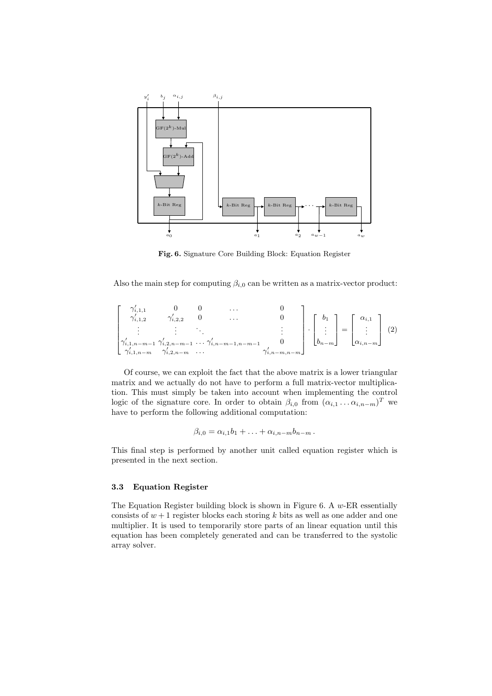

Fig. 6. Signature Core Building Block: Equation Register

Also the main step for computing  $\beta_{i,0}$  can be written as a matrix-vector product:

$$
\begin{bmatrix}\n\gamma'_{i,1,1} & 0 & 0 & \dots & 0 \\
\gamma'_{i,1,2} & \gamma'_{i,2,2} & 0 & \dots & 0 \\
\vdots & \vdots & \ddots & \vdots \\
\gamma'_{i,1,n-m-1} & \gamma'_{i,2,n-m-1} & \dots & \gamma'_{i,n-m-1,n-m-1} & 0 \\
\gamma'_{i,1,n-m} & \gamma'_{i,2,n-m} & \dots & \gamma'_{i,n-m,n-m}\n\end{bmatrix}\n\begin{bmatrix}\nb_1 \\
\vdots \\
b_{n-m}\n\end{bmatrix} =\n\begin{bmatrix}\n\alpha_{i,1} \\
\vdots \\
\alpha_{i,n-m}\n\end{bmatrix}
$$
\n(2)

Of course, we can exploit the fact that the above matrix is a lower triangular matrix and we actually do not have to perform a full matrix-vector multiplication. This must simply be taken into account when implementing the control logic of the signature core. In order to obtain  $\beta_{i,0}$  from  $(\alpha_{i,1} \ldots \alpha_{i,n-m})^T$  we have to perform the following additional computation:

$$
\beta_{i,0} = \alpha_{i,1}b_1 + \ldots + \alpha_{i,n-m}b_{n-m}.
$$

This final step is performed by another unit called equation register which is presented in the next section.

#### 3.3 Equation Register

The Equation Register building block is shown in Figure 6. A  $w$ -ER essentially consists of  $w + 1$  register blocks each storing k bits as well as one adder and one multiplier. It is used to temporarily store parts of an linear equation until this equation has been completely generated and can be transferred to the systolic array solver.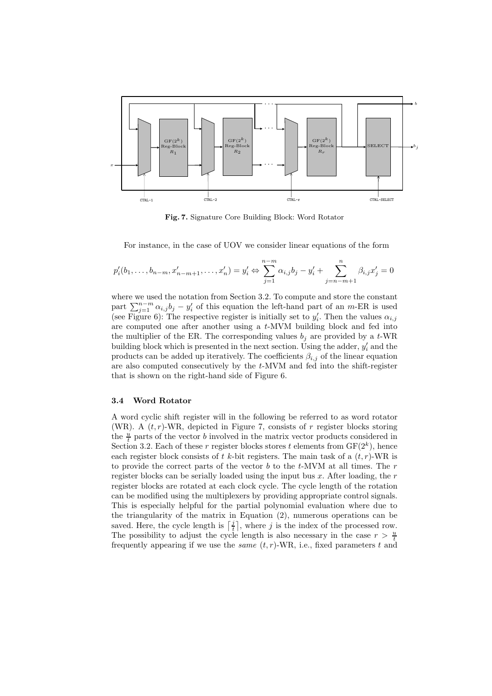

Fig. 7. Signature Core Building Block: Word Rotator

For instance, in the case of UOV we consider linear equations of the form

$$
p'_{i}(b_{1},...,b_{n-m},x'_{n-m+1},...,x'_{n})=y'_{i} \Leftrightarrow \sum_{j=1}^{n-m} \alpha_{i,j}b_{j}-y'_{i}+\sum_{j=n-m+1}^{n} \beta_{i,j}x'_{j}=0
$$

where we used the notation from Section 3.2. To compute and store the constant part  $\sum_{j=1}^{n-m} \alpha_{i,j} b_j - y'_i$  of this equation the left-hand part of an m-ER is used (see Figure 6): The respective register is initially set to  $y_i'$ . Then the values  $\alpha_{i,j}$ are computed one after another using a  $t$ -MVM building block and fed into the multiplier of the ER. The corresponding values  $b_i$  are provided by a t-WR building block which is presented in the next section. Using the adder,  $y_i'$  and the products can be added up iteratively. The coefficients  $\beta_{i,j}$  of the linear equation are also computed consecutively by the t-MVM and fed into the shift-register that is shown on the right-hand side of Figure 6.

### 3.4 Word Rotator

A word cyclic shift register will in the following be referred to as word rotator (WR). A  $(t, r)$ -WR, depicted in Figure 7, consists of r register blocks storing the  $\frac{u}{t}$  parts of the vector b involved in the matrix vector products considered in Section 3.2. Each of these r register blocks stores t elements from  $GF(2<sup>k</sup>)$ , hence each register block consists of t k-bit registers. The main task of a  $(t, r)$ -WR is to provide the correct parts of the vector  $b$  to the  $t$ -MVM at all times. The  $r$ register blocks can be serially loaded using the input bus  $x$ . After loading, the  $r$ register blocks are rotated at each clock cycle. The cycle length of the rotation can be modified using the multiplexers by providing appropriate control signals. This is especially helpful for the partial polynomial evaluation where due to the triangularity of the matrix in Equation (2), numerous operations can be saved. Here, the cycle length is  $\left[\frac{j}{t}\right]$ , where j is the index of the processed row. The possibility to adjust the cycle length is also necessary in the case  $r > \frac{u}{t}$ frequently appearing if we use the *same*  $(t, r)$ -WR, i.e., fixed parameters t and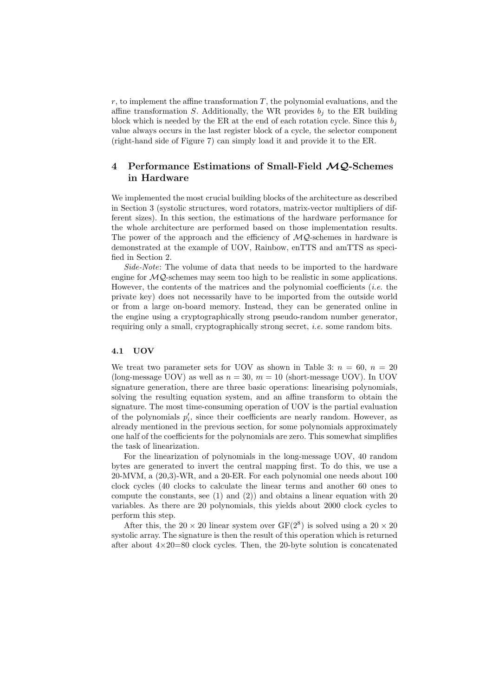$r$ , to implement the affine transformation  $T$ , the polynomial evaluations, and the affine transformation S. Additionally, the WR provides  $b_j$  to the ER building block which is needed by the ER at the end of each rotation cycle. Since this  $b_i$ value always occurs in the last register block of a cycle, the selector component (right-hand side of Figure 7) can simply load it and provide it to the ER.

# 4 Performance Estimations of Small-Field  $MQ$ -Schemes in Hardware

We implemented the most crucial building blocks of the architecture as described in Section 3 (systolic structures, word rotators, matrix-vector multipliers of different sizes). In this section, the estimations of the hardware performance for the whole architecture are performed based on those implementation results. The power of the approach and the efficiency of  $MQ$ -schemes in hardware is demonstrated at the example of UOV, Rainbow, enTTS and amTTS as specified in Section 2.

Side-Note: The volume of data that needs to be imported to the hardware engine for  $MQ$ -schemes may seem too high to be realistic in some applications. However, the contents of the matrices and the polynomial coefficients (*i.e.* the private key) does not necessarily have to be imported from the outside world or from a large on-board memory. Instead, they can be generated online in the engine using a cryptographically strong pseudo-random number generator, requiring only a small, cryptographically strong secret, i.e. some random bits.

## 4.1 UOV

We treat two parameter sets for UOV as shown in Table 3:  $n = 60$ ,  $n = 20$ (long-message UOV) as well as  $n = 30$ ,  $m = 10$  (short-message UOV). In UOV signature generation, there are three basic operations: linearising polynomials, solving the resulting equation system, and an affine transform to obtain the signature. The most time-consuming operation of UOV is the partial evaluation of the polynomials  $p'_i$ , since their coefficients are nearly random. However, as already mentioned in the previous section, for some polynomials approximately one half of the coefficients for the polynomials are zero. This somewhat simplifies the task of linearization.

For the linearization of polynomials in the long-message UOV, 40 random bytes are generated to invert the central mapping first. To do this, we use a 20-MVM, a (20,3)-WR, and a 20-ER. For each polynomial one needs about 100 clock cycles (40 clocks to calculate the linear terms and another 60 ones to compute the constants, see  $(1)$  and  $(2)$ ) and obtains a linear equation with 20 variables. As there are 20 polynomials, this yields about 2000 clock cycles to perform this step.

After this, the  $20 \times 20$  linear system over  $GF(2^8)$  is solved using a  $20 \times 20$ systolic array. The signature is then the result of this operation which is returned after about  $4\times20=80$  clock cycles. Then, the 20-byte solution is concatenated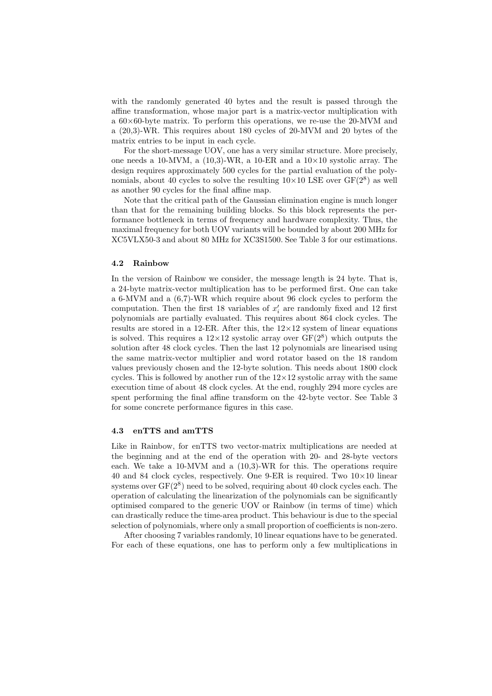with the randomly generated 40 bytes and the result is passed through the affine transformation, whose major part is a matrix-vector multiplication with a  $60\times60$ -byte matrix. To perform this operations, we re-use the 20-MVM and a (20,3)-WR. This requires about 180 cycles of 20-MVM and 20 bytes of the matrix entries to be input in each cycle.

For the short-message UOV, one has a very similar structure. More precisely, one needs a 10-MVM, a  $(10.3)$ -WR, a 10-ER and a  $10\times10$  systolic array. The design requires approximately 500 cycles for the partial evaluation of the polynomials, about 40 cycles to solve the resulting  $10\times10$  LSE over  $GF(2^8)$  as well as another 90 cycles for the final affine map.

Note that the critical path of the Gaussian elimination engine is much longer than that for the remaining building blocks. So this block represents the performance bottleneck in terms of frequency and hardware complexity. Thus, the maximal frequency for both UOV variants will be bounded by about 200 MHz for XC5VLX50-3 and about 80 MHz for XC3S1500. See Table 3 for our estimations.

#### 4.2 Rainbow

In the version of Rainbow we consider, the message length is 24 byte. That is, a 24-byte matrix-vector multiplication has to be performed first. One can take a 6-MVM and a (6,7)-WR which require about 96 clock cycles to perform the computation. Then the first 18 variables of  $x_i'$  are randomly fixed and 12 first polynomials are partially evaluated. This requires about 864 clock cycles. The results are stored in a 12-ER. After this, the  $12\times12$  system of linear equations is solved. This requires a  $12\times12$  systolic array over  $GF(2^8)$  which outputs the solution after 48 clock cycles. Then the last 12 polynomials are linearised using the same matrix-vector multiplier and word rotator based on the 18 random values previously chosen and the 12-byte solution. This needs about 1800 clock cycles. This is followed by another run of the  $12\times12$  systolic array with the same execution time of about 48 clock cycles. At the end, roughly 294 more cycles are spent performing the final affine transform on the 42-byte vector. See Table 3 for some concrete performance figures in this case.

#### 4.3 enTTS and amTTS

Like in Rainbow, for enTTS two vector-matrix multiplications are needed at the beginning and at the end of the operation with 20- and 28-byte vectors each. We take a 10-MVM and a (10,3)-WR for this. The operations require 40 and 84 clock cycles, respectively. One 9-ER is required. Two  $10\times10$  linear systems over  $GF(2^8)$  need to be solved, requiring about 40 clock cycles each. The operation of calculating the linearization of the polynomials can be significantly optimised compared to the generic UOV or Rainbow (in terms of time) which can drastically reduce the time-area product. This behaviour is due to the special selection of polynomials, where only a small proportion of coefficients is non-zero.

After choosing 7 variables randomly, 10 linear equations have to be generated. For each of these equations, one has to perform only a few multiplications in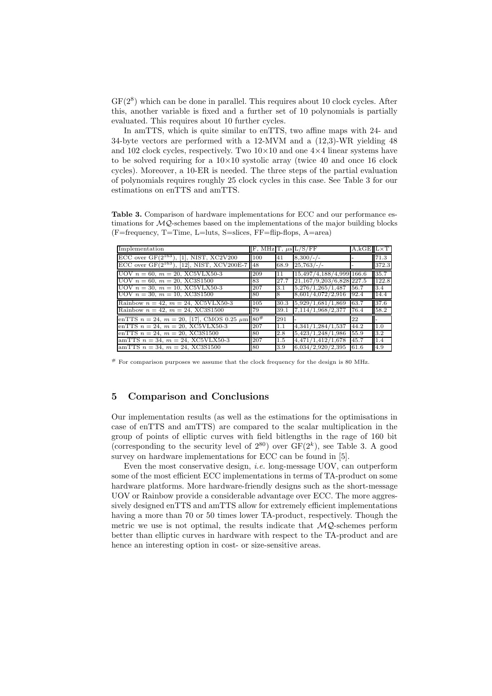GF( $2<sup>8</sup>$ ) which can be done in parallel. This requires about 10 clock cycles. After this, another variable is fixed and a further set of 10 polynomials is partially evaluated. This requires about 10 further cycles.

In amTTS, which is quite similar to enTTS, two affine maps with 24- and 34-byte vectors are performed with a 12-MVM and a (12,3)-WR yielding 48 and 102 clock cycles, respectively. Two  $10\times10$  and one  $4\times4$  linear systems have to be solved requiring for a  $10\times10$  systolic array (twice 40 and once 16 clock cycles). Moreover, a 10-ER is needed. The three steps of the partial evaluation of polynomials requires roughly 25 clock cycles in this case. See Table 3 for our estimations on enTTS and amTTS.

Table 3. Comparison of hardware implementations for ECC and our performance estimations for  $MQ$ -schemes based on the implementations of the major building blocks (F=frequency, T=Time, L=luts, S=slices, FF=flip-flops, A=area)

| Implementation                                                      |     |         | $\vert$ F, MHz $\vert$ T, $\mu$ s $\vert$ L/S/FF | $A,kGE  L\times T$ |       |
|---------------------------------------------------------------------|-----|---------|--------------------------------------------------|--------------------|-------|
| ECC over $GF(2^{163})$ , [1], NIST, XC2V200                         | 100 | 41      | $8,300/-/$                                       |                    | 71.3  |
| ECC over $GF(2^{163})$ , [12], NIST, XCV200E-7 48                   |     | 68.9    | $25,763/$ -/-                                    |                    | 372.3 |
| UOV $n = 60$ , $m = 20$ , XC5VLX50-3                                | 209 | 11      | 15,497/4,188/4,999 166.6                         |                    | 35.7  |
| UOV $n = 60$ , $m = 20$ , XC3S1500                                  | 83  | 27.7    | $21,167/9,203/6,828$ 227.5                       |                    | 122.8 |
| UOV $n = 30$ , $m = 10$ , XC5VLX50-3                                | 207 | 3.1     | 5,276/1,265/1,487                                | 56.7               | 3.4   |
| UOV $n = 30$ , $m = 10$ , XC3S1500                                  | -80 | 8       | 8,601/4,072/2,916                                | 92.4               | 14.4  |
| Rainbow $n = 42$ , $m = 24$ , XC5VLX50-3                            | 105 | 30.3    | 5,929/1,681/1,869                                | 63.7               | 37.6  |
| Rainbow $n = 42$ , $m = 24$ , XC3S1500                              | 179 | 39.1    | 7,114/1,968/2,377                                | 76.4               | 58.2  |
| enTTS $n = 24$ , $m = 20$ , [17], CMOS 0.25 $\mu$ m 80 <sup>#</sup> |     | 291     |                                                  | 22                 |       |
| enTTS $n = 24$ , $m = 20$ , XC5VLX50-3                              | 207 | 1.1     | 4,341/1,284/1,537                                | 44.2               | II.0  |
| enTTS $n = 24$ , $m = 20$ , XC3S1500                                | 80  | 2.8     | 5,423/1,248/1,986                                | 55.9               | 3.2   |
| amTTS $n = 34$ , $m = 24$ , XC5VLX50-3                              | 207 | $1.5\,$ | 4,471/1,412/1,678                                | 45.7               | 1.4   |
| amTTS $n = 34$ , $m = 24$ , XC3S1500                                | 80  | 3.9     | 6,034/2,920/2,395                                | 61.6               | 4.9   |

 $#$  For comparison purposes we assume that the clock frequency for the design is 80 MHz.

# 5 Comparison and Conclusions

Our implementation results (as well as the estimations for the optimisations in case of enTTS and amTTS) are compared to the scalar multiplication in the group of points of elliptic curves with field bitlengths in the rage of 160 bit (corresponding to the security level of  $2^{80}$ ) over  $GF(2<sup>k</sup>)$ , see Table 3. A good survey on hardware implementations for ECC can be found in [5].

Even the most conservative design, *i.e.* long-message UOV, can outperform some of the most efficient ECC implementations in terms of TA-product on some hardware platforms. More hardware-friendly designs such as the short-message UOV or Rainbow provide a considerable advantage over ECC. The more aggressively designed enTTS and amTTS allow for extremely efficient implementations having a more than 70 or 50 times lower TA-product, respectively. Though the metric we use is not optimal, the results indicate that  $\mathcal{MQ}$ -schemes perform better than elliptic curves in hardware with respect to the TA-product and are hence an interesting option in cost- or size-sensitive areas.